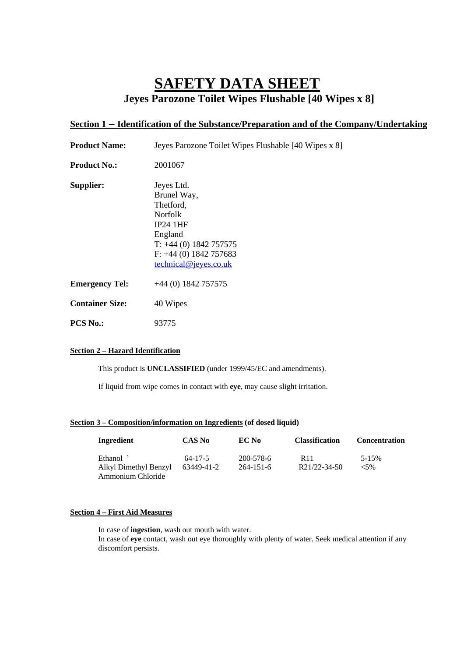# **SAFETY DATA SHEET Jeyes Parozone Toilet Wipes Flushable [40 Wipes x 8]**

## **Section 1 – Identification of the Substance/Preparation and of the Company/Undertaking**

| <b>Product Name:</b>   | Jeyes Parozone Toilet Wipes Flushable [40 Wipes x 8]                                                                                                             |  |
|------------------------|------------------------------------------------------------------------------------------------------------------------------------------------------------------|--|
| <b>Product No.:</b>    | 2001067                                                                                                                                                          |  |
| Supplier:              | Jeyes Ltd.<br>Brunel Way,<br>Thetford,<br><b>Norfolk</b><br>$IP24$ 1HF<br>England<br>$T: +44(0)$ 1842 757575<br>$F: +44(0)$ 1842 757683<br>technical@jeyes.co.uk |  |
| <b>Emergency Tel:</b>  | $+44(0)$ 1842 757575                                                                                                                                             |  |
| <b>Container Size:</b> | 40 Wipes                                                                                                                                                         |  |
| <b>PCS No.:</b>        | 93775                                                                                                                                                            |  |

#### **Section 2 – Hazard Identification**

This product is **UNCLASSIFIED** (under 1999/45/EC and amendments).

If liquid from wipe comes in contact with **eye**, may cause slight irritation.

### **Section 3 – Composition/information on Ingredients (of dosed liquid)**

| Ingredient                                 | <b>CAS No</b> | EC No           | <b>Classification</b> | <b>Concentration</b> |
|--------------------------------------------|---------------|-----------------|-----------------------|----------------------|
| Ethanol `                                  | 64-17-5       | 200-578-6       | R <sub>11</sub>       | 5-15%                |
| Alkyl Dimethyl Benzyl<br>Ammonium Chloride | 63449-41-2    | $264 - 151 - 6$ | R21/22-34-50          | ${<}5\%$             |

#### **Section 4 – First Aid Measures**

 In case of **ingestion**, wash out mouth with water. In case of **eye** contact, wash out eye thoroughly with plenty of water. Seek medical attention if any discomfort persists.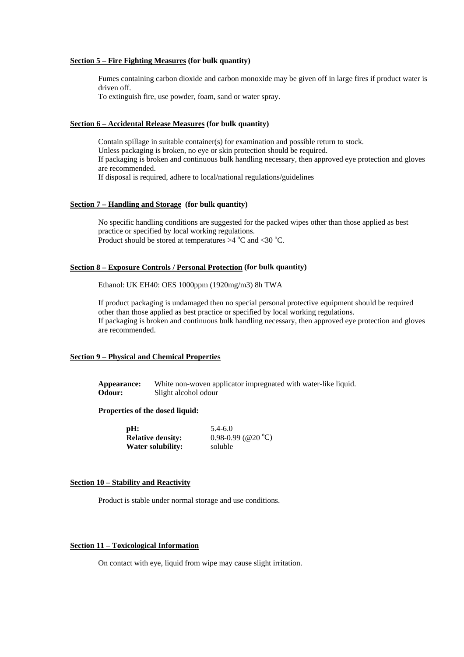#### **Section 5 – Fire Fighting Measures (for bulk quantity)**

Fumes containing carbon dioxide and carbon monoxide may be given off in large fires if product water is driven off.

To extinguish fire, use powder, foam, sand or water spray.

#### **Section 6 – Accidental Release Measures (for bulk quantity)**

Contain spillage in suitable container(s) for examination and possible return to stock. Unless packaging is broken, no eye or skin protection should be required. If packaging is broken and continuous bulk handling necessary, then approved eye protection and gloves are recommended. If disposal is required, adhere to local/national regulations/guidelines

#### **Section 7 – Handling and Storage (for bulk quantity)**

No specific handling conditions are suggested for the packed wipes other than those applied as best practice or specified by local working regulations. Product should be stored at temperatures  $>4$  °C and <30 °C.

#### **Section 8 – Exposure Controls / Personal Protection (for bulk quantity)**

Ethanol: UK EH40: OES 1000ppm (1920mg/m3) 8h TWA

If product packaging is undamaged then no special personal protective equipment should be required other than those applied as best practice or specified by local working regulations. If packaging is broken and continuous bulk handling necessary, then approved eye protection and gloves are recommended.

#### **Section 9 – Physical and Chemical Properties**

**Appearance:** White non-woven applicator impregnated with water-like liquid. **Odour:** Slight alcohol odour

#### **Properties of the dosed liquid:**

| pH:                      | $5.4 - 6.0$            |
|--------------------------|------------------------|
| <b>Relative density:</b> | $0.98 - 0.99$ (@20 °C) |
| <b>Water solubility:</b> | soluble                |

#### **Section 10 – Stability and Reactivity**

Product is stable under normal storage and use conditions.

#### **Section 11 – Toxicological Information**

On contact with eye, liquid from wipe may cause slight irritation.